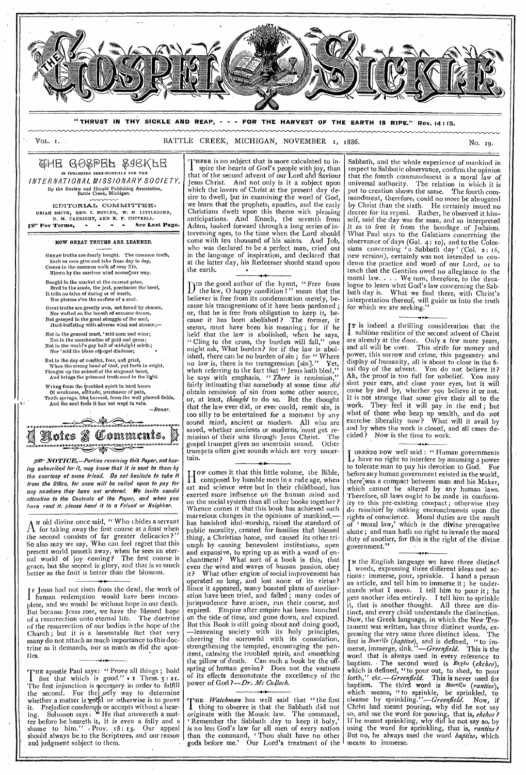

**"THRUST IN THY SICKLE AND REAP, - - - FOR THE HARVEST OF THE EARTH IS RIPE." Rev. 14:** 15.

# VOL. I. SATTLE CREEK, MICHIGAN, NOVEMBER 1, 1886.

## GHE GOSPER SGEKFE IS FUBLISHED SHMI-MONTHLY FOR THE INTERNATIONAL MISSIONARY SOCIETY, *By* the *Review* and Herald Publishing Association, Battle Creek, Michigan.

EDITORIAL COMMITTEE: URIAH SMITH, GEO. I. BUTLER, W. H. LITTLEJOHN, D. M. CANRIGHT, AND R. F. COTTRELL.<br>[29] For Terms, - - - - See Last Page.

#### HOW GREAT TRUTHS ARE LEARNED.

GREAT truths are dearly bought. The common truth, Such as men give and take from day to day, Comes in the common walk of easy life, Blown by the careless wind across-our way.

Bought in the market at the current price,<br>Bred in the smule, the jest, perchance the bowl,<br>It tells no tales of daring or of worth,<br>Nor pierces e'en the surface of a soul.

Great truths are greatly won, not found by chance, Nor wafted on the breath of summer dream, But grasped in the great struggle of the soul, Hard-buffeting with adverse wind and stream;—

Not in the general mart, ' mid corn and wine;

Not in the merchandise of gold and gems; Not in the world's gay hall of midnight mirth; Nor 'mid the blase offregal diadems; •

But in the day of conflict, fear, and grief,<br>When the strong hand of God, put forth in might,<br>Ploughs up the subsoil of the stagnant heart,<br>And brings the prisoned truth-seed to the light.

Wrung from the troubled spirit in hard hours<br>
Of weakness, solitude, perchance of pain,<br>Truth springs, like harvest, from the well plowed fields,<br>
And the soul fools it has not wept in vain. —Boner.

**1.i31111111111111,1111111.1 1111111.1.11•11111116.1111116111.1.14111111.1111k. 011eZ**  *0)1r* fomments. **11.1 .1.111141.1.1111.101V.11 .11111.;1111,11i iiiii 11...t.11.1.11.1.111F1111** 

ger NOTICE.-Parties receiving this Paper, not hav ing subscribed for it, may know that it is sent to them by the courtesy of some friend. Do not hesitate to take it from the Office, for none will be called upon to pay for any numbers they have not ordered. We invite candid attention to the Contents of the Paper, and when you have read it, please hand it to a Friend or Neighbor.

A N old divine once said, " Who chides a servant  $\Lambda$  for taking away the first course at a feast when the second consists of far greater delicacies ?" So also may we say, Who can feel regret that this present world passeth away, when he sees an eternal world of joy coming? The first course is grace, but the second is glory, and that is as much better as the fruit is better than the blossom.

I human redemption would have been incom-Jesus had not risen from the dead, the work of plete, and we would be without hope in our death. But because Jesus rose, we have the blessed hope of a resurrection unto eternal life. • The doctrine of the resurrection of our bodies is the hope of the Church ; but it is a lamentable fact that very many do not attach as much importance to this doctrine as it demands, nor as much as did the aposties. **4.•** <sup>5</sup>

THE apostle Paul says: " Prove all things; hold 1 fast that which is good."  $\cdot$  1 Thess.  $5 : 21$ . The first injunction is necessary in order to fulfill the second. For the only way to determine whether a matter is good or otherwise is to prove it. Prejudice condemns or accepts without a hearing. Solomon says: WHe that answereth a matter before he heareth it, it is even a folly and a shame to him." Prov. 18: 13. Our appeal should always be. to the Scriptures, and our reason and judgment subject to them.

THERE is no subject that is more .calculated to inspire the hearts of God's people with joy, than that of the second advent of our Lord and Saviour Jesus Christ. And not only is it a subject upon which the lovers of Christ at the present day desire to dwell, but in examining the word of God, we learn that the prophets, apostles, and the early Christians dwelt upon this theme with pleasing anticipations. And Enoch, the seventh from Adam, looked forward through a long series of intervening ages, to the time when the Lord should come with ten thousand of his saints. And Job, who was declared to be a perfect man, cried out who was declared to be a perfect man, cried in the language of inspiration, and declared that at the latter day, his Redeemer should stand upon the earth.

D ID the good author of the hymn, "Free from the law, 0 happy condition ! " mean that the believer is free from its condemnation merely, because his transgressions of it have been pardoned ; or, that he is' free from obligation to keep it, because it has been abolished? The former, seems, must have been his meaning; for if he held that the law is abolished, when he says, " Cling to the cross, thy burden will fall," one might ask, What burden? for if the law is abolished, there can be no burden of sin; for "Where no law is, there is no transgression [sin]." Yet, when referring to the fact that " Jesus hath bled," he says with emphasis, " There is remission," fairly intimating that somebody at some time *did*  obtain remission of sin from some other source, or, at least, thought to do so. But the thought that the law ever did, or ever could, remit sin, is too silly to be entertained for a moment by any sound mind, ancient or modern. All who are saved, whether ancients or moderns, 'must get remission of their sins through Jesus Christ. The gospel trumpet gives no uncertain sound. Other trumpets often give sounds which are very uncertain.

H composed by humble men in a rude age, when ow comes it that this little volume, the Bible, art and science were but in their childhood, has exerted more influence on the human mind and on the social system than all other books together? Whence comes it that this book has achieved such marvelous changes in the opinions of mankind, has banished idol-worship, raised the standard of public morality, created for families that blessed thing, a Christian home, and caused its other triumph by causing benevolent institutions, open and expansive, to spring up as with a wand of enchantment? What sort of a book is this, that even the wind and waves of human passion. obey What other engine of social improvement has operated so long, and lost none of its virtue? Since it appeared, many boasted plans of amelioration have been tried, and failed; many codes of jurisprudence have arisen, run their course, and expired. Empire after empire has been launched on the tide of time, and gone down, and expired. But this Book is still going about and doing good; —leavening society with its holy principles, cheering the sorrowful with its consolation, strengthening the tempted, encouraging the pen, itent, calming the troubled spirit, and smoothing the pillow of death. Can such a book be the offspring of human genius? Does not the vastness of its effects demonstrate the excellency of the power of God ?-Dr. Mc Culloch.

THE Watchman has well said that "the first 1 thing to observe is that the Sabbath did not originate with the Mosaic law. The command, Remember the Sabbath day to keep it holy, is no less God's law for all men of every nation than the command, 'Thou shalt have no other gods before me.' Our Lord's treatment of the Sabbath, and the whole experience of mankind in respect to Sabbatic observance, confirm the opinion that the fourth commandment is a moral law of universal authority. The relation in which it is put to creation shows the same. The fourth commandment, therefore, could no more be abrogated by Christ than the sixth. He certainly issued no decree for its repeal. Rather, he observed it himself, said the day was for man, and so interpreted it as to free it from the bondage of Judaism. What Paul says to the Galatians concerning the observance of days (Gal. 4: 10), and to the Colossians concerning 'a Sabbath day ' (Col. 2: 16, new version), certainly was not intended to condemn the practice and word of our Lord, or to teach that the Gentiles owed no allegiance to the moral law. . . . We turn, therefore, to the decalogue to learn 'what God's law concerning the Sabbath day is. What we find there, with Christ's interpretation thereof, will guide us into the truth for which we are seeking."

IT is indeed a thrilling consideration that the **1** sublime realities of the second advent of Christ are already at the door. Only a few more years, and all will be over. This strife for money and power, this sorrow and crime, this pageantry and display of humanity, all is about to close in the final day of the advent. You do not believe it? Ah, the proof is too full for unbelief. You may shut your ears, and close your eyes, but it will come by and by, whether you believe it or not. It is not strange that some give their all to the work. They- feel it will pay in the end; but what of those who heap up wealth, and do not exercise liberality now? What will it avail by and by when the work is closed, and all cases decided ? Now is the time to work.

ORENZO DOW well said : " Human governments L have no right to interfere by assuming a power<br>to tolerate man to pay his devotion to God. For to tolerate man to pay his devotion to God. before any human government existed in the world, there"was a compact between man and his Maker, which cannot be altered by any human laws. Therefore, all laws ought to be made in conformity to this pre-existing compact ; otherwise they do mischief by making encroachments upon the rights of conscience. Moral duties are the result rights of conscience. Moral duties are the result<br>of 'moral law,' which is the divine prerogative alone; and man hath no right to invade the moral duty of another, for this is the right of the divine government."

N the English language we have three distinct words, expressing three different ideas and actions : immerse, pour, sprinkle. I hand a person an article, and tell him to immerse it; he understands what I mean. I tell him to pour it; he gets another idea entirely. I tell him to sprinkle it, that is another thought. All three are distinct, and every child understands the distinction. Now, the Greek language, in which the New Testament was written, has three distinct words, expressing the very same three distinct ideas. The first is *Barrilo (baptizo)*, and is defined, "to im-<br>merse, immerge, sink."—*Greenfield*. This is the merse, immerge, *sink."—Greenfield.* This is the word that is always used in -every reference to baptism. The second word is  $E_{\kappa\chi\ell\omega}$  (ekcheo), which is defined, "to pour out, to shed, to pour forth," etc.—*Greenfield*. This is never used for baptism. The third word is  $Ravr(x_0 \text{ (rantizo)})$ , which means, " to sprinkle, be sprinkled, to cleanse by sprinkling."-Greenfield. Now, if Christ had meant pouring, why did he not say so, and use the word for pouring, that is, ekchos If he meant sprinkling, why did he not say so, by using the word for sprinkling, that is, rantizol But no, he always used the word *baptizo*, which means to immerse.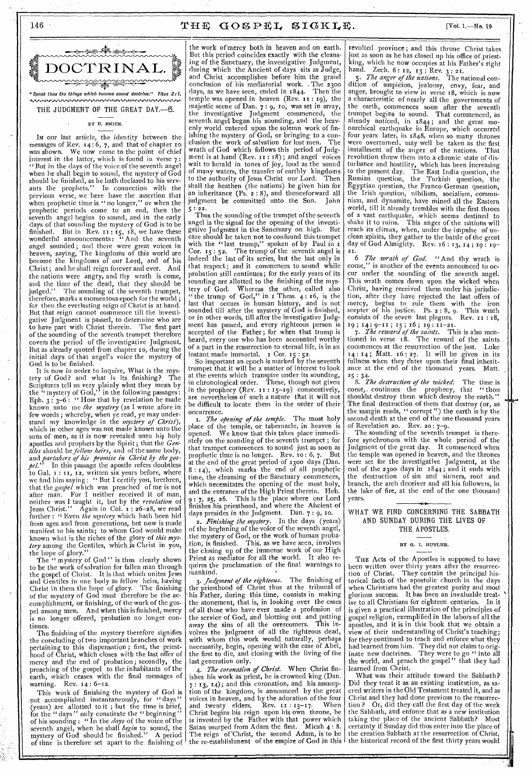



## BY U. SMITH.

IN our last article, the identity between the messages of Rev.  $x_4$ : 6, 7, and that of chapter  $x_0$  was shown. We now come to the point of chief We now come to the point of chief interest in the latter, which is found in verse  $7:$ "But in the clays of the voice of the seventh angel when he shall begin to sound, the mystery of God should be finished, as he bath declared to his servants the prophets." In connection with the previous verse, we here have the assertion that when prophetic time is "no longer," or when the prophetic periods come to an end, then the seventh angel begins to sound, and in the early days of that sounding the mystery of God is to be finished. But in Rev.  $r_1$ :  $r_5$ ,  $r_8$ , we have these wonderful announcements: "And the seventh angel sounded ; and there were great voices in heaven, saying, The kingdoms of this world are become the kingdoms of our Lord, and of his Christ; and he shall reign forever and ever. And the nations were angry, and thy wrath is come, and the time of the dead, that they should be judged." The sounding of the seventh trumpet, therefore, marks a momentous epoch for the world ; for then the everlasting reign of Christ is at hand. But that reign cannot commence till the investigative Judgment is passed, to determine who are to have part with Christ therein. The first part of the sounding of the seventh trumpet therefore covers the period of the investigative Judgment. But as already quoted from chapter ro, during the initial days of that angel's voice the mystery of God is to be finished.

It is now in order to inquire, What is the mys-<br>ry of God? and what is its finishing? The tery of God? and what is its finishing? Scriptures tell us very plainly what they mean by the "mystery of God," in the following passages: Eph.  $3:3-6:$  "How that by revelation he made known, unto me *the mystery* (as I wrote afore in few words ; whereby, when ye read, ye may understand my knowledge in the *mystery of Christ),*  which in other ages was not made known unto the sons of men, as it is now revealed unto his holy apostles and prophets by the Spirit; that the *Gentiles* should be *fellow heirs,* and of the same body, and *partakers of his promise in Christ by the gos-*In this passage the apostle refers doubtless to Gal. x : II, 12, written six years before, where we find him saying : " But I certify you, brethren, that the *gospel* which was preached of me is not after man. For I neither received it of man, neither was I taught it, but by the *revelation* of Jesus Christ." Again in Col. 1: 26-28, we read further: "Even the mystery which hath been hid from ages and from generations, but now is made manifest to his saints; to whom God would make known what is the riches of the glory of *this mystery* among the Gentiles, which js Christ in you, hope of glory.'

The " mystery of God" is thus clearly shown to be the work of salvation for fallen man through the gospel of Christ. It is that which unites Jews and Gentiles in one body as fellow heirs, having Christ in them the hope of glory. The finishing Christ in them the hope of glory. The finishing<br>of the mystery of God must therefore be the accomplishment, or finishing, of the work of the gospel among men. And when this is finished, mercy is no longer offered, probation no longer continues.

The. finishing of the mystery therefore signifies the concluding of two important branches of work pertaining to this dispensation; first, the priesthood of Christ, which closes with the last offer of mercy and the end of probation ; secondly, the preaching of the gospel to the inhabitants of the earth, which ceases with the final messages of warning. Rev. 14: 6-12.

This work of finishing the mystery of God is .not accomplished instantaneously, for " days " (years) are allotted to it ; but the time is brief, for the "days" only constitute the "beginning" of his sounding : " In the *days* of the voice of the seventh angel, when he shall *begin* to sound, the mystery of God should be finished." A period of time is therefore set apart to the finishing of

the work of mercy both in heaven and on earth. But this period coincides exactly with the cleansing of the Sanctuary, the investigative Judgment, during which the Ancient of days sits as Judge, and Christ accomplishes before him the grand conclusion of his mediatorial work. The 2300 days, as we have seen, ended in 1844. Then the temple was opened in heaven (Rev. x I : 19), the majestic scene of Dan. 7 : 9, to; was set in array, the investigative Judgment commenced, the seventh angel began his sounding, and the heavenly world entered upon the.solemn work of finishing the mystery of God, or bringing to a conclusion the work of salvation for lost men. wrath of God which follows this period of Judgment is at hand (Rev. II : r8); and angel voices wait to herald in tones of joy, loud as the sound of many waters, the transfer of earthly kingdoms to the authority of Jesus Christ our Lord. Then shall the heathen (the nations) be given him for an inheritance (Ps. 2 : 8), and thenceforward all judgment be committed unto the Son. John  $5:22.$ 

Thus the sounding of the trumpet of the seventh angel is the signal for the opening of the investigative Judgment in the Sanctuary on high. But care should be taken not to confound this trumpet with the "last trump," spoken of by Paul in I Cor.  $15:52$ . The trump of the seventh angel is indeed the last of its series, but the last only in that respect; and it commences to sound while probation still continues; for the early years of its sounding are allotted to the finishing of the mystery of God. Whereas the other, called also " the trump of  $God$ ," in  $t$  Thess.  $4:16$ , is the last that occurs in human history, and is not sounded till after the mystery of God is finished, or in other words, till after the investigative Judgment has passed, and every righteous person is accepted of the Father; for when that trump is heard, every one who has been accounted worthy of a part in the resurrection to eternal life, is in an instant made immortal. x Cor. 15 : 52.

So important an epoch is marked by the seventh trumpet that it will be a matter of interest to look at the events which transpire under its sounding, in chronological order. These, though not given in the prophecy (Rev. II : 15-19) consecutively, are nevertheless of such a nature that it will not be difficult to locate them in the order of their occurrence.

I. *The opening of the temple.* The most holy place of the temple, or tabernacle, in heaven is opened. We know that this takes place immediately on the sounding of the seventh trumpet ; for that trumpet commences to sound just as soon as prophetic time is no longer. Rev. ro : 6, 7. But at the end of the great period of 2300 days (Dan. 8 : r4), which marks the end of all prophetic time, the cleansing of the Sanctuary commences, which necessitates the opening of the most holy, and the entrance of the High Priest therein. Heb. 9 : 7, 25, 26. This is the place where our Lord finishes his priesthood, and where the Ahcient of days presides in the Judgment. Dan. 7 : 9, to.

*2. Finishing the mystery.* In the days (years) of the beginning of the voice of the seventh angel, the mystery of God, or the work of human probation, is finished. This, as we have seen, involves the closing up of the immense work of our High<br>Priest as mediator for all the world. It also re-Priest as mediator for all the world. quires the proclamation of the final warnings to mankind.

*3. judgment of the righteous.* The finishing of the priesthood of Christ thus at the tribunal of 'his Father, during this time, consists in making the atonement, that is, in looking over the cases of all those who have ever made a profession of the service of God, and blotting out and putting<br>away the sins of all the overcomers. This inaway the sins of all the overcomers. volves the judgment of all the righteous dead, with whom this work would naturally, perhaps necessarily, begin, opening with the case of Abel, the first to die, and closing with the living of the last generation only.

*4. The coronation of Christ.* When Christ finishes his work as priest, he is crowned king (Dan. 7 : 13, 14); and this coronation, and his assumption of the kingdom, is announced by the great voices in heaven, and by the adoration of the four and twenty elders. Rev. x : 15-17. When Christ begins his reign upon his own throne, he is invested by the Father with that power which Satan usurped from Adam the first. Micah 4 : 8. The reign of Christ, the second Adam, is to be the re-establishment of the empire of God in this

revolted province ; and this throne Christ takes just as soon as he has closed up his office of priestking, which he now occupies at his Father's right hand. Zech. 6: 12, 13; Rev. 3: 21.

*5. The anger of the nations.* The national con-5. The anger of the nations. The national condition of suspicion, jealousy, envy, fear, and anger, brought to view in verse 18, which is now a characteristic of nearly all the governments of the earth, commences soon after the seventh trumpet begins to sound. That commenced, as already noticed, in 1844; and the great monarchical earthquake in Europe, which occurred four years later, in 1848, when so many thrones were overturned, may well be taken as the first installment of the anger of the nations. That revolution threw them into a chronic state of disturbance and hostility, which has been increasing to the present day. The East India question, the Russian question, the Turkish question, the Egyptian question, the Franco-German question, Irish question, nihilism, socialism, communism, and dynamite, have mined all the Eastern world, till it already trembles with the first throes of a vast earthquake, which seems destined to This anger of the nations will reach its climax, when, under the impulse of unclean spirits, they gather to the battle of the great day of God Almighty. Rev. 16 : 13, 14 ; 19 : 19- 21.

6 *The wrath of God.* " And thy wrath is come," is another of the events announced to occur under the sounding of the seventh angel. This wrath comes down upon the wicked when Christ, having received them under his jurisdiction, after they have rejected the last offers of mercy, begins to rule them with the iron scepter of his justice. Ps. 2: 8, 9. This wrath consists of the seven last plagues. Rev.  $i \in I$  8, consists of the seven last plagues. Kev. 11:18,<br>
19; 14: 9-11; 15; 16; 19: 11-21.<br>
7. *The reward of the saints*. This is also men-

tioned in verse 18. The reward of the saints commences at the resurrection of the just. Luke commences at the resurrection of the just. :  $14$ ; Matt.  $16:27$ . It will be given in its fullness when they enter upon their final inheritance at the end of the thousand years. Matt.

25 : *8. The destruction of the wicked.* The time is come,. continues the prophecy, that "thou shouldst destroy them which destroy the earth." The final destruction of them that destroy (or, as the margin reads, " corrupt ") the earth is by the second death at the end of the one thousand years of Revelation zo. Rev. 20: 7-9.

The sounding of the seventh trumpet is therefore synchronous with the whole period of the Judgment of the great day. It commenced when the temple was opened in heaven, and the thrones were set for the investigative Judgment, at the end of the 2300 days in 1844; and it ends with the destruction of sin and sinners, root and branch, the arch deceiver and all his followers, in the lake of fire, at the end of the one thousand years.

WHAT WE FIND CONCERNING THE SABBATH AND SUNDAY DURING THE LIVES OF THE APOSTLES.

# BY G. I. BUTLER.

THE Acts of the Apostles is supposed to have been written over thirty years after the resurrection of Christ. They contain the principal historical facts of the apostolic church in the days when Christians had the greatest purity and most glorious success. It has been an invaluable treat-<br>ise to all Christians for eighteen centuries. In it ise to all Christians for eighteen centuries. is given a practical illustration of the principles of gospel religion, exemplified in the labors of all the apostles, and it is in this book that we obtain a view of their understanding of Christ's teaching; for they continued to teach and enforce what they had learned from him. They did not claim to originate new doctrines. They were to go " into all the world, and preach the gospel " that they had learned from Christ.

What was their attitude toward the Sabbath? Did they treat it as an existing institution, as sacred writers in the Old Testament treated it, and as Christ and they had done previous to the resurrection? Or, did they call the first day of the week the Sabbath, and enforce that as a new institution taking the place of the ancient Sabbath? Most certainly if Sunday did thus enter into the place of the creation Sabbath at the resurrection of Christ, the historical record of the first thirty years would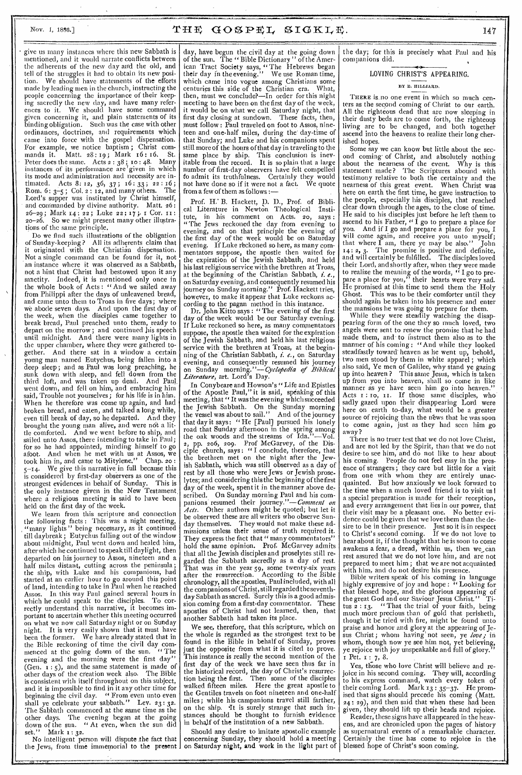# Nov. 1, 1886.]  $THE GOSPEL SIGKLE.$  1886.]

• give us many instances where this new Sabbath is mentioned, and it would narrate conflicts between the adherents of the new day and the old, and tell of the struggles it had to obtain its new position. We should have statements of the efforts made by leading men in the church, instructing the people concerning the importance of their keeping sacredly the new day, and have many references to it. We should have some command given concerning it, and plain statements of its binding obligation. Such was the case with other ordinances, doctrines, and requirements which came into force with the gospel dispensation. For example, we notice baptism ; Christ commands it. Matt.  $28:19$ ; Mark  $16:16$ . St. Peter does the same. Acts 2 : 38 ; 10 : 48. Many instances of its performance are given in which its mode and administration and necessity are intimated. Acts 8: 12, 36, 37; 16: 33; 22: 16; Rom.  $6: 3-5$ ; Col.  $2: 12$ , and many others. The Lord's supper was instituted by Christ himself, and commanded by divine authority. Matt. 26: 26-29; Mark 14: 22; Luke 22: 17; I Cor. II 20-26. So we might present many other illustrations of the same principle.

Do we find such illustrations of the obligation of Sunday-keeping? All its adherents claim that it originated with the Christian dispensation. Not a single command can be found for it, not an instance Where it was observed as a Sabbath, not a hint that Christ had bestowed upon it any sanctity. Indeed, it is mentioned only once in the whole book of Acts : "And we sailed away from Philippi after the days of unleavened bread, and came unto them to Troas in five days; where we abode seven days. And upon the first day of the week, when the disciples came together to break bread, Paul preached unto them, ready to depart on the morrow; and continued his speech until midnight. And there were many lights in the upper chamber, where they were gathered together. And there sat in a window a certain young man named Eutychus, being fallen into a deep sleep; and as Paul was long preaching, he sunk down with sleep, and fell down from the third loft, and was taken up dead. And Paul\_ went down, and fell on him, and embracing him said, Trouble not yourselves; for his life is in him. When he therefore was come up again, and had broken bread, and eaten, and talked a long while, even till break of day, so he departed. And they brought the young man alive, and were not a little comforted. And we went before to ship, and sailed unto Assos, there intending to take in Paul; for so he had appointed, minding himself to go afoot. And when he met with us at Assos, we took him in, and came to Mitylene." Chap. 20 : took him in, and came to Mitylene." Chap. 20:<br> $5^{-1}4$ . We give this narrative in full because this is considered by first-day observers as one of the strongest evidences in behalf of Sunday. This is the only instance given in the New Testament, where a religious meeting is said to have been held on the first day of the week.

We learn from this scripture and connection the following facts : This was a night meeting, ,''many lights" being necessary, as it continued till daybreak ; Eutychus falling out of the window about midnight, Paul went down and healed him, after which he continued to speaktill daylight, then departed on his journey to Assos, nineteen and a half miles distant, cutting across the peninsula; the ship, with Luke and his companions, had started at an earlier hour to go around this point of land, intending to take in Paul when he reached Assos. In this way Paul gained several hours in which he could speak to the disciples. To correctly understand, this narrative, it becomes important to ascertain whether this meeting occurred on what we now call Saturday night or on Sunday night. It is very easily shown that it must have been the former. We have already stated that in been the former. We have already stated that in the Bible reckoning of time the civil day commenced at the going down of the sun. "The menced at the going down of the sun. "The evening and the morning were the first day' (Gen.  $\tilde{i}$ ;  $\tilde{j}$ ), and the same statement is made of other days of the creation week also. The Bible is consistent with itself throughout on this subject, and it is impossible to find in it any other time for beginning the civil day. " From even unto even shall ye celebrate your sabbath." Lev. 23: 32. The Sabbath commenced at the same time as the other days. The evening began at the going down of the sun. "At even, when the sun did set." Mark 1 : 32.

No intelligent person will dispute the fact that the Jews, from time immemorial to the present I

day, have begun the civil day at the going down of the sun. The " Bible Dictionary " of the American Tract Society says, "The Hebrews began their day in the evening." We use Roman time, which came into vogue among Christians some centuries this side of the Christian era. What, then, must we conclude?—In order for this night meeting to have been on the first day of the week, it would be on what we call Saturday night, that<br>first day closing at sundown. These facts, then, first day closing at sundown. must follow : Paul traveled on foot to Assos, nineteen and one-half miles, during the' day-time of that Sunday; and Luke and his companions spent still more of the hours of that day in traveling to the same place by ship. This conclusion is inevitable from the record. It is so plain that a large number of first-day observers have felt compelled fo admit its truthfulness. Certainly they would not have done so if it were not a fact. We quote from a few of them as follows :—

Prof. H.' B. Hackett, D. D., Prof. of Biblical Literature in Newton Theological Institute, in his comment on Acts. 20, says: tute, in his comment on Acts. 20, "The Jews reckoned the day from evening to evening, and on that principle the evening of the first day of the week would be on Saturday evening. If Luke reckoned so here, as many commentators suppose, the apostle then waited for the expiration of the Jewish Sabbath, and held his last religious service with the brethren at Troas, at the beginning of the Christian Sabbath,  $i.e.,$ on Saturday evening, and consequently resumed his journey on Sunday morning." Prof. Hackett tries, however, to make it appear that Luke reckons according to the pagan method in this instance.

Dr. John Kitto says : "The evening of the first ay of the week would be our Saturday evening. If Luke reckoned so here, as many commentators suppose, the apostle then waited for the expiration of the Jewish Sabbath, and held his last religious service with the brethren at Troas, at the beginning of the Christian Sabbath, *i. e.,* on Saturday evening, and consequently resumed his journey on Sunday *morning."—Cyclopedia of Biblical Literature,* art. Lord's Day.

In Conybeare and Howson's "Life and Epistles of the Apostle Paul," it is said, speaking of this meeting, that " It was the evening which succeeded the Jewish Sabbath. On the Sunday morning the vessel was about to sail." And of the journey that day it says: " He [Paul] pursued his lonely road that Sunday afternoon in the spring among the oak woods and the streams of Ida."—Vol. 2, pp. 206, 209. Prof McGarvey, of the Disciple church, says : " I conclude, therefore, that the brethren met on the night after the Jewish Sabbath, which was still observed as a day of rest by all those who were Jews or Jewish proselytes; and considering this the beginning of the first day of the week, spent it in the manner above described. On Sunday morning Paul and his companions resumed their *journey."—Comment on Ads.* Other authors might be quoted; but let it be observed these are all writers who observe Sun-<br>day themselves. They would not make these adday themselves. They would not make these admissions unless their sense of truth required it. They express the fact that " many commentators" hold the same opinion. Prof. McGarvey admits that all the Jewish disciples and proselytes still regarded the Sabbath sacredly as a day of rest. That was in the year 59, some twenty-six years after the resurrection. According to the Bible chronology, all the apostles, Paul included, with all the companions of Christ, still regarded the seven thday Sabbath as sacred. Surely this is a good admission coming from a first-day commentator. These apostles of Christ had not learned, then, that another Sabbath had taken its place.

We see, therefore, that this scripture, which on the whole is regarded as the strongest text to be found in the Bible in behalf of Sunday, proves just the opposite from what it is cited to prove. This instance is really the second mention of the first day of the week we have seen thus far in the historical record, the day of Christ's resurrection being the first. Then some of the disciples walked fifteen miles. Here the great apostle to the Gentiles travels on foot nineteen and one-half miles; while his campanions travel still farther, on the ship. •It is surely strange that such instances should be thought to furnish evidence in behalf of the institution of a new Sabbath.

Should any desire to imitate apostolic example concerning Sunday, they should hold a meeting on Saturday night, and work in the light part of

the day; for this is precisely what Paul and his companions did.

# LOVING CHRIST'S APPEARING.

### BY E. BILLIARD.

THERE is no one event in which so much centers as the second coming of Christ to our earth. All the righteous dead that are now sleeping in their dusty beds are to come forth, the righteous living are to be changed, and both together ascend into the heavens to realize their long cherished hopes.

Some say we can know but little about the second coming of Christ, and absolutely nothing about the nearness of the event. Why is this statement made? The Scriptures abound with testimony relative to both the certainty and the nearness of this great event. When Christ was here on earth the first time, he gave instruction to the people, especially his disciples, that reached clear down through the ages, to the close of time. He said to his disciples just before he left them to ascend to his Father, " I go to prepare a place for you. And if I go and prepare a place for you. I And if I go and prepare a place for you, I will come again, and receive you unto myself; that where  $\Gamma$  am, there ye may be also." John that where  $\tilde{\mathbf{I}}$  am, there ye may be also." John  $\mathbf{I4}: \mathbf{2}, \mathbf{3}.$  The promise is positive and definite, and will certainly be fulfilled. The disciples loved  $14:2$ , 3. The promise is po and will certainly be fulfilled. their Lord, and shortly after, when they were made to realize the meaning of the words,  $\cdot \cdot$  I go to prepare a place for you," their hearts were very sad. He promised at this time to send them the Holy<br>He promised at this time to send them the Holy<br>Ghost. This was to be their comforter until they This was to be their comforter until they should 'again be taken into his presence and enter the mansions he was going to prepare for them.

While they were steadily watching the disappearing form of the one they so much loved, two angels were sent to renew the promise that he had made them, and to instruct them also as to the manner of his coming : "And while they looked steadfastly toward' heaven as he went up, behold, two men stood by them in white apparel ; which also said, Ye men of Galilee, why stand ye gazing up into heaven ? This same Jesus, which is taken up from you into heaven, shall so come in like manner as ye have seen him go into heaven." Acts 1: 10, 11. If those same disciples, who sadly gazed upon their disappearing Lord were here on earth to-day, what would be a greater source of rejoicing than the news that he was soon to come again, just as they had seen him go away ?

There is no truer test that we do not love Christ, and are not led by the Spirit, than that we do not desire to see him, and do not like to hear about his coming. People do not feel easy in the presence of strangers; they care but little for a visit from one with whom they are entirely unacquainted. But how anxiously we look forward to the time when a much loved friend is to yisit us a special preparation is made for their reception, and every arrangement that lies in our power, that their visit may be a pleasant one. No better evidence could be given that we love them than the desire to be in their presence. Just so it is in respect to Christ's second coming. If we do not love to to Christ's second coming. If we do not love to hear about it, if the thought that he is soon to come awakens a fear, a dread, within us, then we,can rest assured that we do not love him, and are not prepared to meet him; that we are not acquainted with him, and do not desire his presence.

Bible writers speak of his coming in language highly expressive of joy and hope: "Looking for that blessed hope, and the glorious appearing of<br>the great God and our Saviour Tesus Christ." Tithe great God and our Saviour Jesus Christ." Titus  $\frac{3}{2}$ : 13. "That the trial of your faith, being much more precious than of gold that perisheth, though it be tried with fire, might be found unto praise and honor and glory at the appearing of Jesus Christ; whom having not seen, ye *love;* in whom, though now ye see him not, yet believing, ye rejoice with joy unspeakable and full of glory."  $x = P$ <sub>r</sub> Pet.  $x = 7, 8$ .

Yes, those who love Christ will believe and rejoice in his second coming. They will, according to his express command, watch every token of their coming Lord. Mark  $13:35-37$ . He promised that signs should precede his coming (Matt. 24 : 29), and then said that when these had been given, they should lift up their heads and rejoice.

Reader, these signs have all appeared in the heavens, and are chronicled upon the pages of history as supernatural events of a remarkable character. Certainly the time has come to rejoice in the blessed hope of Christ's soon coming.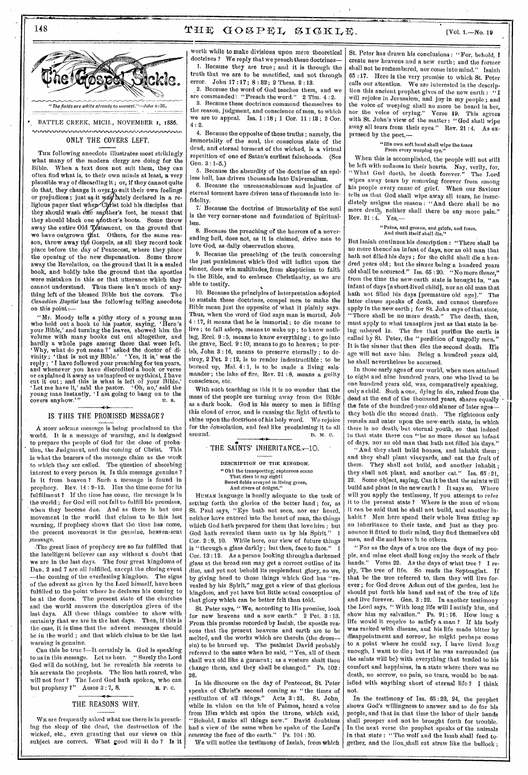# 148 THE GOSPEL SIGKLE.  $V = V + V$



BATTLE CREEK, MICH., NOVEMBER 1, 1886.

#### ..... , ,,,,,,, *,,,,,,,,,,,,,, ,,,,,,,* ,,,,,, ONLY THE COVERS LEFT.

Tue following anecdote illustrates most strikingly what many of the modern clergy are doing for the Bible. When a text does not suit them, they can often find what is, to their own minds at least, a very plausible way of discarding it ; or, if they cannot quite do that, they change it over.to suit their own feelings or prejudices ; just as it way lately declared in a religious paper that when Christ told his disciples that they should wash one another's feet, he meant that they should black one another's boots. Some throw away the entire Old Testament, on the ground that we have outgrown that. Others, for the same reason, throw away the Gospels, as all they record took place before the day of Pentecost, where they place the opening of the new dispensation. Some throw away the Revelation, on the ground that it is a sealed book, and boldly take the ground that the apostles were mistaken in this or that utterance which they cannot understand. Thus there isn't much of anything left of the blessed Bible but the covers. The *Canadian Baptist* has the following telling anecdote on this point  $:=$ 

"Mr. Moody tells a pithy story of a young man who held out a book to his pastor, saying, 'Here's your Bible,' and turning the leaves, showed him the volume with many books cut out altogether, and hardly a whole page among those that were left. `Why, what do yon mean ?' asked the doctor of divinity ; ` that is not my Bible.' Yes, it is,' was the reply ; 'I have followed your preaching for ten years, and whenever you have discredited a book or verse or explained it away as uninspired or mythical, I have cut it out ; and this is what is left of your Bible.' 'Let me have it,' said the pastor. ` Oh, no,' said the young man instantly, 'I am going to hang on to the covers anyhow." U.S.

#### IP IS THIS THE PROMISED MESSAGE?

A MOST solemn message is being proclaimed to the world. It is a message of warning, and is designed to prepare the people of God for the close of probation, the Judgment, and the coming of Christ. This is what the bearers of the message claim as the work to which they are called. The question of absorbing interest to every person is, Is this message genuine ? Is it from heaven ? Such a message is found in prophecy. Rev. 14 : 9-12. Has the time come for its fulfillment ? If the time has come, the message is in the world ; for God will not fail to fulfill his promises, when they become due. And as there is but one movement in the world that claims to be this last warning, if prophecy shows that the time has come, the present movement is the genuine, heaven-sent message.

,The great lines of prophecy are so far fulfilled that the intelligent believer can say without a doubt that we are in the last days. The four great kingdoms of Dan. 2 and 7 are all fulfilled, except the closing event -the coming of the everlasting kingdom. The signs of the advent as given by the Lord himself, have been fulfilled to the point where he declares his coming to be at the doors. The present state of the churches and the world answers the description given of the last days. All these things combine to show with certainty that we are in the last days. Then, if this is the case, it is time that the advent messages should be in the world ; and that which claims to be the last warning is genuine.

Can this be true ?-It certainly is. God is speaking to us in this message. Let us hear. " Surely the Lord God will do nothing, but he revealeth his secrets to his servants the prophets. The lion bath roared, who will not fear ? The Lord God hath spoken, who can<br>but prophesy ?" Amos 3: 7, 8. R. F. C. but prophesy ?" Amos 3:7, 8.

#### THE REASONS WHY.

WE are frequently asked what use there is in preaching the sleep of the dead, the destruction of the wicked, etc., even granting that our views on this subject are correct. What good will it do ? Is it

worth while to make divisions upon mere theoretical doctrines ? We reply that we preach these doctrines-1. Because they are true ; and it is through the truth that we are to be sanctified, and not through error. John 17 : 17 ; 8 : 82 ; 2 Thess. 2 : 13.

\_2. Because the word of God teaches them, and we are commanded: "Preach the word." 2 Tim. 4 : 2.

S. Because these doctrines commend themselves to the reason, judgment, and conscience of men, to which we are to appeal. Isa. 1 : 18 ; 1 Cor. 11 : 13 ; 2 Cor.  $4:2.$ 

4. Because the opposite of these truths ; namely, the immortality of the soul, the conscious state of the dead, and eternal torment of the wicked, is a virtual repetition of one of Satan's earliest falsehoods. (See Gen. 3 : 1-5.)

5. Because the absurdity of the doctrine of an endless hell, has driven thousands into Universalism.

6. Because the unreasonableness and injustice of eternal torment have driven tens of thousands into infidelity.

7. Because the doctrine of immortality of the soul is the very corner-stone and foundatiou of Spiritualism.

8. Because the preaching of the horrors of a neverending hell, does not, as it is claimed, drive men to love God, as daily observation shows.

9. Because the preaching of the truth concerning the just punishment which God will inflict upon the sinner, does win multitudes, from skepticism to faith in the Bible, and to embrace Christianity, as we are able to testify.

10. Because the principles of interpretation adopted to sustain these doctrines, compel men to make the Bible mean just the opposite of what it plainly says. Thus, when the word of God says man is mortal, Job 4 : 17, it means that he is immortal ; to die means to live ; to fall asleep, means to wake up ; to know nothing, Reel. 9 : 5, means to know everything ; to go into the grave, Eccl. 9:10, means to go to heaven; to perish, John 3 : 16, means to preserve eternally ; to destroy, 2 Pet. 2 : 12, is to render indestructible ; to be burned up, Mal. 4: 1, is to be made a living salamander ; the lake of fire, Rev. 21 : 8, means a guilty conscience, etc.

With such teaching as this it is no wonder that the mass of the people are turning away from the Bible as a dark book. God in his mercy to men is lifting this cloud of error, and is causing the light of truth to shine upon the doctrines of his holy word. We rejoice for the consolation, and feel like proclaiming it to all around. around.  $\qquad \qquad \bullet$   $\qquad \qquad$  D. M. C.

# THE SAINTS' INHERITANCE. $-10$ .

DESCRIPTION OF THE KINGDOM. "Oh I the transporting; rapturous scene That rises to my sight! Sweet fields arrayed in living green, And rivers of delight."

HUMAN language is hardly adequate to the task of setting forth the glories of the better land ; for, as St. Paul says, "Eye bath not seen, nor ear heard, neither have entered into the heart of man, the things which God bath prepared for them that love him ; but God hath revealed them unto us by his Spirit. Cor. 2 : 9, 10. While here, our view of future things is "through a glass darkly; but then, face to face." Cor. 13 : 12. As a person looking through a darkened glass at the broad sun may get a correct outline of its disc, and yet not behold its resplendent glory, so we, by giving heed to those things which God has "revealed by his Spirit," may get a view of that glorious kingdom, and yet have but little actual conception of that glory which can be better felt than told.

St. Peter says, "We, according to His promise, look<br>or new heavens and a new earth." 2 Pet. 3:13. for new heavens and a new earth." From this promise recorded by Isaiah, the apostle reasons that the present heavens and earth are to be melted, and the works which are therein (the drosssin) to be burned up. The psalmist David probably referred to the same when he said, "Yea, all of them shall wax old like a garment; as a vesture shalt thou change them, and they shall be changed." Ps. 102: change them, and they shall be changed." 26.

In his discourse on the day of Pentecost, St. Peter speaks of Christ's second coming as "the times of restitution of all things." Acts 3:21. St. John, while in vision on the isle of Patmos, heard a voice from Him which sat upon the throne, which said, "Behold, I make all things new." David doubtless had a view of the same when he spake of the Lord's *renewing* the face of the earth." Ps. 104 : 30.

We will notice the testimony of Isaiah, from which

St. Peter has drawn his conclusions : "For, behold, I create new heavens and a new earth; and the former shall not be remembered, nor come into mind." Isaiah 65:17. Here is the very promise to which St. Peter calls our attention. We are interested in the description this ancient prophet gives of the new earth : ' will rejoice in Jerusalem, and joy in my people ; and the voice of weeping shall no more be heard in her, nor the voice of crying." Verse 19. This agrees with St. John's view of the matter: "God shall wipe away all tears from their eyes." Rev. 21:4. As expressed by the poet,-

# " His own soft hand shall wipe the tears From every weeping eye."

When this is accomplished, the people will not still be left with sadness in their hearts. Nay, verily, for, "What God doeth, he doeth forever." The Lord wipes away tears by removing forever from among his people every cause of grief. When our Saviour tells us that God shall wipe away all tears, he immediately assigns the reason : "And there shall be no more death, neither shall there be any more pain." Rev. 21 :  $4.$  Yes,  $-$ 

# "Pains, and groans, and griefs, and fears,<br>And *death* itself shall die."

But Isaiah continues his description : "There shall be no more thence an infant of days, nor an old man that bath not filled his days ; for the child shall die a hundred years old ; but the sinner being a hundred years old shall be accursed." Isa. 65 : 20. "No more *thence,"*  from the time the new-earth state is brought in, "an infant of days [a short-lived child], nor an old man that bath not filled his days [premature old age]." The latter clause speaks of death, and cannot therefore apply in the new earth ; for St. John says of that state, "There shall be no more death." The death, then, must apply to what transpires just as that state is being ushered in. The fire that purifies the earth is called by St. Peter, the "perdition of ungodly men." It is the sinner that then dies the second death. His age will not save him. Being a hundred years old, he shall nevertheless be accursed.

In those early ages of our world, when men attained to eight and nine hundred years, one who lived to be one hundred years old, was, comparatively speaking, only a child. Such a one, dying in sin, raised from the dead at the end of the thousand years, shares equally the fate of the hundred-year-old sinner of later agesthey both die the second death. The righteous only remain and enter upon the new-earth state, in which there is no death, but eternal youth, so that indeed in that state there can "be no more *thence* an infant of days, nor an old man that hath not filled his days."

" And they shall build houses, and inhabit them ; and they shall plant vineyards, and eat the fruit of them. They shall not build, and another inhabit ; they shall not plant, and another eat." Isa. 65:21,<br>22. Some object saying Can it be that the saints will Some object, saying, Can it be that the saints will build and plant in the new earth ? It says so. Where will you apply the testimony, if you attempt to refer it to the present state ? Where is the man of whom it can be said that he shall not build, and another inhabit ? Men here spend their whole lives fitting up an inheritance to their taste, and just as they pronounce it fitted to their mind, they find themselves old men, and die and leave it to others.

"For as the days of a tree are the days of my people, and mine elect shall long enjoy the work of their hands." Verse 22. As the days of what tree ? I reply, The tree of life. So reads the Septuagint. If that be the tree referred to, then they will live forever ; for God drove Adam out of the garden, lest he should put forth his hand and eat of the tree of life and live forever. Gen. 3 : 22. In another testimony the Lord says, " With long life will I satisfy him, and show him my salvation." Ps. 91 : 16. How long a life would it require to satisfy a man? If his body was racked with disease, and his life made bitter by disappointment and sorrow, lie might perhaps come to a point where he could say,  $\tilde{I}$  have lived long enough, I want to die; but if he was surrounded (as the saints will be) with everything that tended to his comfort and happiness, in a state where there was no death, no sorrow, no pain, no tears, would he be.satisfied with anything short of eternal life ? I think not.

In the testimony of Isa. 65 : 23, 24, the prophet shows God's willingness to answer and to do for his people, and that in that time the labor of their hands shall prosper and not be brought forth for trouble. In the next verse the prophet speaks of the animals in that state : "The wolf and the lamb shall feed together, and the lion shall eat straw like the bullock ;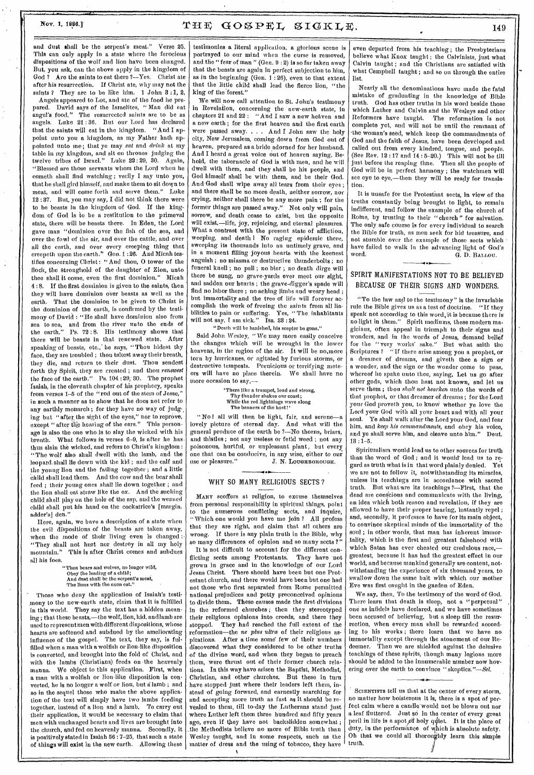# Nov. 1, 1888.]  $T \boxplus \boxplus$   $G \odot \textcircled{S} \text{PEL}$ ,  $S \text{IGKL} \boxplus$ .  $149$

and dust shall be the serpent's meat." Verse 25. This can only apply in a state where the ferocious dispositions of the wolf and lion have been changed. But, you ask, can the above apply in the kingdom of God ? Are the saints to eat there ?-Yes. Christ ate after his resurrection. If Christ ate, why may not the saints ? They are to be like him. 1 John 3:1, 2,

Angels appeared to Lot, and ate of the food he prepared. David says of the Israelites, "Man did eat angel's food." The resurrected saints are to be as The resurrected saints are to be as angels. Luke 21 :36. But our Lord has declared that the saints will eat in the kingdom. "And I appoint unto you a kingdom, as my Father bath appointed unto me; that ye may eat and drink at my table in my kingdom, and sit on thrones judging the twelve tribes of Israel." Luke 22 : 29, 30. Again, "Blessed are those servants whom the Lord when he cometh shall find watching ; verily I say unto you, that he shall gird himself, and make them to sit down to meat, and will come forth and serve them." Luke 12 :87. But, you may say, I did not think there were to be beasts in the kingdom of God. If the kingdom of God is to be a restitution to the primeval state, there will be beasts there. In Eden, the Lord gave man "dominion over the fish of the sea, and over the fowl of the air, and over the cattle, and over all the earth, and over every creeping thing that creepeth upon the earth." Gen. 1 :26. And Micah testifies concerning Christ: "And thou, 0 tower of the flock, the stronghold of the daughter of Zion, unto thee shall it come, even the first dominion." Micah 4 : 8. If the first dominion is given to the saints, then they will have dominion over beasts as well as the earth. That the dominion to be given to Christ is the dominion of the earth, is confirmed by the testimony of David : "He shall have dominion also from sea to sea, and from the river unto the ends of the earth." Ps. 72 : 8. His testimony shows that there will be beasts in that renewed state. After speaking of beasts, etc., he says, "Thou hidest thy face, they are troubled ; thou takest away their breath, they die, and return to their dust. Thou sendest forth thy Spirit, they are created ; and thou *renewest*  the face of the earth." Ps. 104 :29; 30. The prophet Isaiah, in the eleventh chapter of his prophecy, speaks from verses 1-5 of the "rod out of the stem of Jesse," in such a manner as to show that he does not refer to any earthly monarch ; for they have no way of judg-, ing but "after the sight of the eyes," nor to reprove, except " after ihe hearing of the ears." This personage is also the one who is to slay the wicked with his breath. What follows in verses 6-9, is after he has thus slain the wicked, and refers to Christ's kingdom : "The wolf also shall dwell with the lamb, and the leopard.shall lie down with the kid ; and the calf and the young lion and the falling together ; and a little Child shall lead them. And the cow and the bear shall feed ; their young ones shall lie down together ; and the lion shall eat straw like the ox. And the sucking child shall play on the hole of the asp, and the weaned child shall put his hand on the cockatrice's [margin, adder's] den."

Here, again, we have a description of a state when the evil dispositions of the beasts are taken away, when the mode of their living even is changed : "They shall not hurt nor destroy in all my holy mountain." This is after Christ comes and subdues This is after Christ comes and subdues all his foes.

> "Then bears and wolves, no longer wild, Obey the leading of a child; And dust shall be the serpent's meat, The lions with tho oxen eat."

Those who deny the application of Isaiah's testimony to the new-earth state, claim that it is fulfilled in this world. They say the text has a hidden meaning ; that these beasts,—the wolf, lion, kid, and lamb are used to represent men with different dispositions, whose hearts are softened and subdued by the ameliorating influence of the gospel. The text, they say, is fulfilled when a man with a wolfish or lion-like disposition is converted, and brought into the fold of Christ, and with the lambs (Christians) feeds on. the heavenly manna. We object to this application. First, when a man with a wolfish or lion-like disposition is converted, he is no longer a wolf or lion, but a lamb ; and so in the sequel those who make the above application of the text will simply have two lambs feeding together, instead of a lion and a lamb. To carry out their application, it would be necessary to claim that men with unchanged hearts and lives are brought into the church, and fed on heavenly manna. Secondly, it is positively stated in Isaiah 56 : 7-25, that such a state of things will exist in the new earth. Allowing these

testimonies a literal application, a glorious scene is portrayed to our mind when the curse is removed, and the " fear of man " (Gen. 9 : 2) is so far taken away that the beasts are again in perfect subjection to him, as in the beginning (Gen. 1:26), even to that extent that the little child shall lead the fierce lion, "the king of the forest."

We will now call attention to St. John's testimony in Revelation, concerning the new-earth state, in chapters 21 and 22 : "And I saw a new heaven and a new earth ; for the first heaven and the first earth were passed away. . . . And I John saw the holy city, New Jerusalem, coming down from God out of heaven, prepared as a bride adorned for her husband. And I heard a great voice out of heaven saying, Behold, the tabernacle of God is with men, and he will dwell with them, and they shall be his people, and God himself shall be with them, and be their God. And God shall wipe away all tears from their eyes ; and there shall be no more death, neither sorrow, nor crying, neither shall there be any more pain ; for the former things are passed away." Not only will pain, sorrow, and death cease to exist, but the opposite will exist,—life, joy, rejoicing, and eternal pleasures. What a contrast with the present state of affliction, weeping, and death I No raging epidemic there, sweeping its thousands into an untimely grave, and in a moment filling joyous hearts with the keenest anguish ; no miasma or destructive thunderbolts ; no funeral knell ; no pall ; no bier ; no death dirge will there be sung, no grave-yards ever meet our sight, and sadden our hearts ; the grave-digger's spade will find no labor there ; no aching limbs and weary head ; but immortality and the tree of life will forever accomplish the work of freeing the saints from all lia-<br>bilities to pain or suffering. Yes, "The inhabitants bilities to pain or suffering. will not say, I am sick." Isa. 33 :24.

#### "Death will be banished, his scepter be gone."

Said John Wesley, "We may more easily conceive the changes which will be wrought in the lower heavens, in the region of the air. It will be no.more torn by hurricanes, or agitated by furious storms, or destructive tempests. Pernicious or terrifying meteors will have no place therein. We shall have no more occasion to say,—

> There like a trumpet, loud and strong, Thy thunder shakes our coast; While the red lightnings wave along The banners of the host!'

"No l all will then be light, fair, and serene—a lovely picture of eternal day. And what will the general produce of the earth be ?—No thorns, briars, and thistles ; not any useless or fetid weed ; not any poisonous, hurtful, or unpleasant plant, but every one that can be conducive, in any wise, either to our use or pleasure." J. N. LOUGHBOROUGH.

# WHY SO MANY RELIGIOUS SECTS?

MANY scoffers at religion, to excuse themselves from personal responsibility in spiritual things, point to the numerous conflicting sects, and inquire, "Which one would you have me join ? All profess that they are right, and claim that all others are wrong. If there is any plain truth in the Bible, why so many differences of opinion and so many sects ?"

It is not difficult to account for the different conflicting sects among Protestants. They have not grown in grace and in the knowledge of our Lord Jesns Christ. There should have been but one Protestant church, and there would have been but one had not those who first separated from Rome permitted national prejudices and petty preconceived opinions to divide them. These causes made the first divisions in the reformed churches ; then they stereotyped their religious opinions into creeds, and there they stopped. They had reached the full extent of the They had reached the full extent of the reformation—the *ne plus ultra* of their religious aspirations. After a time some few of their numbers discovered what they considered to be other truths of the divine word, and when they began to preach them, were thrust out of their former church relations. In this way have arisen the Baptist, Methodist, Christian, and other churches. But these in turn have stopped just where their leaders left them, instead of going forward, and earnestly searching for and accepting more truth as fast as it should be revealed to them, till to-day the Lutherans stand just where Luther left them three hundred and fifty years ago, even if they have not backslidden somewhat; the Methodists believe no more of Bible truth than Wesley taught, and in some respects, such as the matter of dress and the using of tobacco, they have

even departed from his teaching ; the Presbyterians believe what Knox taught ; the Calvinists, just what Calvin taught; and the Christians are satisfied with what Campbell taught ; and so on through the entire list.

Nearly all the denominations have made the fatal mistake of graduating in the knowledge of Bible truth. God has other truths in his word beside those which Luther and Calvin and the Wesleys and other Reformers have taught. The reformation is not complete yet, and will not be until the remnant of the woman's seed, which keep the commandments of God and the faith of Jesus, have been developed and called out from every kindred, tongue, and people. (See Rev. 12 : 17 and 14 : 5-20.) This will not be till just before the reaping time. Then all the people of God will be in perfect harmony ; the watchmen will see eye to eye,—then they will be ready for translation.

It is unsafe for the Protestant sects, in view of the truths constantly being brought to light, to remain indifferent, and follow the example of the church of Rome, by trusting to their "church" for salvation. The only safe course is for every individual to search the Bible for truth, as men seek for hid treasure, and not stumble over the example of those sects which • have failed to walk in the advancing light of God's<br>word. (4. D. BALLOU.) G. D. BALLOU.

### • SPIRIT MANIFESTATIONS NOT TO BE BELIEVED BECAUSE OF THEIR SIGNS AND WONDERS.

"To the law and to the testimony" is the invariable rule the Bible gives us as a test of doctrine. "If they speak not according to this word, it is because there is<br>no light in them." Spirit mediums, these modern ma-Spirit mediums, these modern magicians, often appeal in triumph to their *signs* and wonders, and in the words of Jesus, demand belief for the "very works' sake." But what saith the Scriptures ? "If there arise among you a prophet, or a dreamer of dreams, and giveth thee a sign or a wonder, and the sign or the wonder come to pass, whereof he spake unto thee, saying, Let us go after other gods, which thou hast not known, and let us serve them ; thou *shalt not hearken* unto the words of that prophet, or that dreamer of dreams ; for the Lord your God proveth you, to know whether ye love the Lord your God with all your heart and with all your Ye shall walk after the Lord your God, and fear him, and *keep his commandments,* and obey his voice, and ye shall serve him, and cleave unto him." Deut.  $13 : 1 - 5$ .

Spiritualism would lead us to other sources for truth than the word of God ; and it would' lead us to regard as truth what is in that word plainly denied. Yet we are not to follow it, notwithstanding its miracles, unless its teachings are in accordance with sacred trnth. But what are its teachings ?- First, that the dead are conscious and communicate with the living, an idea which both reason and revelation, if they are allowed to have their proper bearing, instantly repel ; and, secondly, it professes to have for its main object, to convince skeptical minds of the immortality of the soul ; in other words, that man has inherent immortality, which is the first and greatest falsehood with which Satan has ever cheated our credulous race,greatest, because it has had the greatest effect in our world, and because mankind generally are content, notwithstanding the experience of six thousand years, to swallow down the same bait with which our mother Eve was first caught in the garden of Eden.

We say, then, To the testimony of the word of God. There learn that death is sleep, not a "perpetual" one as infidels have declared, and we have sometimes been accused of believing, but a sleep till the resurrection, when every man shall be rewarded according to his works ; there learn that we have no immortality except through the atonement of our Redeemer.• Then we are shielded against the delusive teachings of these spirits, though many legions more should be added to the innumerable number now hovering over the earth to convince " skeptics."-Sel.

SCIENTISTS tell us that at the center of every storm, no matter how boisterous it is, there is a spot of perfect calm where a candle-would not be blown out nor a leaf fluttered. Just so in the center of every great peril in life is a spot of holy quiet. It is the place of duty, in the performance of which is absolute safety. Oh that we could all thoroughly learn this simple truth.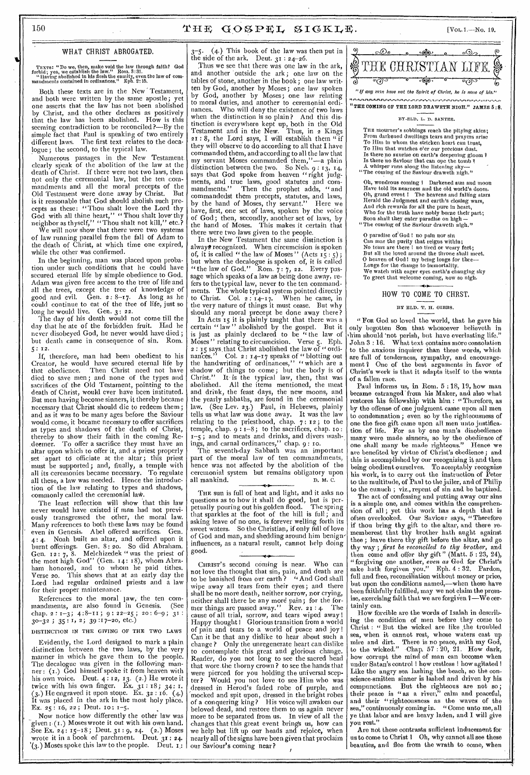# 150  $\text{THE GOSEEL}$   $\text{IGKLE}$ . [Vol. 1.-No. 19.

WHAT CHRIST ABROGATED. \_\_\_\_\_\_

TEXTS: "Do we, then, make void the law through faith? God forbid; yea, we establish the law." Rom. 3:31. " Having abolished in his flesh the enmity, even the law of com-mandments contained in ordinances." Eph. 2:15.

Both these texts are in the New' Testament, and both were written by the same apostle; yet by Christ, and the other declares as positively seeming contradiction to be reconciled  $?$ —By the simple fact that Paul is speaking of two entirely different laws. The first text relates to the deca-Logue ; the second, to the typical law. one asserts that the law has not been abolished that the law has been abolished. How is this

Numerous passages in the New Testament clearly speak of the abolition of the law at the death of Christ. If there were not two laws, then not only the ceremonial law, but the ten commandments and all the moral precepts of the is it reasonable that God should abolish such precepts as these: "Thou shalt love the Lord thy God with all thine heart," " Thou shalt love thy neighbor as thyself," "Thou shalt not kill," etc.?

We will now show that there were two systems of law running parallel from the fall of Adam to the death of Christ, at which time one expired, while the other was confirmed.

In the beginning, man was placed upon probation under such conditions that he could have secured eternal life by simple obedience to God. Adam was given free access to the tree of life and all the trees, except the tree of knowledge of good and evil. Gen. 2: 8-17. As long as he could continue to eat of the tree of life, just so long he would live. Gen. 3: 22.

The clay of his death would not come till the day that he ate of the forbidden fruit. Had he never disobeyed God, he never would have died ; but death came in consequence of sin. Rom. 5 : 12.

If, therefore, man had been obedient to his Creator, he would have secured eternal life by that obedience. Then Christ need not have died to save men; and none of the types and sacrifices of the Old Testament, pointing to the death of Christ, would ever have been instituted. But men having become sinners, it thereby became necessary that Christ should die to redeem them; and as it was to be many ages before the Saviour would come, it became necessary to offer sacrifices as types and shadows of the death of Christ, thereby to show their faith in the coming Re- .deemer. To offer a sacrifice they must have an altar upon which to offer it, and a priest properly set apart to officiate at the altar; this priest must be supported; and, finally, a temple with all its ceremonies became necessary. To regulate all these, a law was needed. Hence the introduction of the law relating to types and shadows, commonly called the ceremonial laW.

The least reflection will show that this law ously transgressed the other, the moral law. Many references to both these laws may be found even in Genesis. Abel offered sacrifices. Gen. 4 : 4. Noah built an altar, and offered upon it Gen. 12: 7, 8. Melchizedek "was the priest of Gen.  $12: 7$ , 8. Melchizedek " was the priest of the most high God" (Gen.  $14: 18$ ), whom Abraham honored, and to whom he paid tithes. Verse 20. This shows that at an early day the Lord had regular ordained priests and a law for their proper maintenance.

References to the moral law, the ten com-<br>mandments, are also found in Genesis. (See chap. 2:  $1-3$ ; 4:8-11; 9: 22-25; 20: 6-9; 31:  $30-32$ ;  $35:1$ ,  $2$ ;  $39:17-20$ , etc.)

DISTINCTION IN THE GIVING OF THE TWO LAWS

Evidently, the Lord designed to mark a plain distinction between the two laws, by the very manner in which he gave them to the people. The decalogue was given in the following manner : (i.) God himself spoke it from heaven with his own voice. Deut.  $4:12, 13. (2.)$  He wrote it twice with his own finger. Ex.  $31:18$ ;  $34:1$ .  $(3.)$  He engraved it upon stone. Ex.  $32:16.$   $(4.)$ It was placed in the ark in the most holy place. Ex. 25: 16, 22; Deut. 10:  $1-5$ .

Now notice how differently the other law was given:  $(1.)$  Moses wrote it out with his own hand. ,See Ex. 24: 15-18; Deut. 31 : 9, 24. (2.) Moses wrote it in a book of parchment. Deut. 31: 24.  $\delta(s)$  Moses spoke this law to the people. Deut.  $\mathbf{I}$ :

 $3-5.$  (4.) This book of the law was then put in the side of the ark. Deut.  $31 : 24 - 26$ .

Old Testament were done away by Christ. But  $\begin{bmatrix} 0 & 0 & 0 \\ 0 & 0 & 0 \end{bmatrix}$  being them precedents statutes, and laws. Thus we see that there was one law in the ark, and another outside the ark; one law on the tables of stone, another in the book; one law written by God, another by Moses; one law spoken by God, another by Moses; one law relating to moral duties, and another to ceremonial ordinances. Who will deny the existence of two laws when the distinction is so plain? And this distinction is everywhere kept up, both in the Old Testament and in the New. Thus, in 2 Kings<br>21: 8, the Lord says, I will establish them " if<br>they will observe to do according to all that I have they will observe to do according to all that I have<br>commanded them, and according to all the law that my servant Moses commanded them,"-a plain distinction between the two. So Neh.  $9:13, 14$ , says that God spoke from heaven "right judgments, and true laws, good statutes and commandments." Then the prophet adds, "and ' commandedst them precepts, statutes, and laws, by the hand of Moses, thy servant." Here we have, first, one set of laws, spoken by the voice of God; then, secondly, another set of laws, by the hand of Moses. This makes it certain that there were two laws given to the people.

In the New Testament the same distinction is always recognized. When circumcision is spoken of, it is called " the law of Moses" (Acts  $15:5$ ); but when the decalogue is spoken of, it is called "the law of God." Rom.  $7:7$ , 22. Every passage which speaks of a law as being done away, refers to the typical law, never to the ten commandments. The whole typical system pointed directly<br>to Christ. Col.  $2:14-17$ . When he came, in to Christ. Col.  $2:14-17$ . When he came, in the very nature of things it must cease. But why should any moral precept be done away there?

In Acts 15 it is plainly taught that there was a certain " law " abolished by the gospel. But it is just as plainly declared to be "the law of Moses " relating to circumcision. Verse 5. Eph. 2 : 15 says that Christ abolished the law of "ordi-<br>nances." Col. 2 : 14-17 speaks of "blotting out the handwriting of ordinances," "which are a shadow of things to come; but the body is of Christ." It- is the typical law, then, that was abolished. All the items mentioned, the meat and drink, the feast days, the new moons, and the yearly sabbaths, are found in the ceremonial law. (See Lev. 23.) Paul, in Hebrews, plainly tells us what law was done away. It was the law relating to the priesthood, chap. 7: 12 ; to the temple, chap.  $9 : 1-8$ ; to the sacrifices, chap. 10:  $x - 5$ ; and to meats and drinks, and divers washings, and carnal ordinances," chap. 9 : so.

The seventh-day Sabbath was an important part of the moral law of ten commandments, hence was not affected by the abolition of the ceremonial system but remains obligatory upon<br>all mankind. D. M. C. all mankind.

never would have existed if man had not previ-  $\begin{bmatrix}$  petually pouring out his golden nood. The spring sum is burnt offerings. Gen. 8:20. So did Abraham.  $\left[\begin{array}{cc}$  influences, as a natural result, cannot help doing  $\text{thy}$ THE sun is full of heat and light, and it asks no questions as to how it shall do good, but is perpetually pouring out his golden flood. The spring that sparkles at the foot of the hill is full ; and asking leave of no one, is forever welling forth its sweet waters. So the Christian, if only full of love of God and man, and shedding around him beni i gninfluences, as a natural result, cannot help doing good. \_\_\_\_\_\_\_\_

References to the moral law, the ten com-<br>mandments, are also found in Genesis. (See  $\int_{\text{mer things are passed away.}}$  Rev. 21:4. The tainly CHRIST'S second coming is near. Who can not love the thought that sin, pain, and death are to be banished from our earth? "And God shall wipe away all tears from their eyes; and there shall be no more death, neither sorrow, nor crying, mer things are passed away." Rev. 21 : 4. The cause of all trial, sorrow, and tears wiped away! Happy thought I Glorious transition from a world of pain and tears to a world of peace and joy ! Can it be that any dislike to hear about such a change ? Only the unregenerate heart can dislike to contemplate this great and glorious change. Reader, do you not long to see the sacred head that wore .the thorny crown ? to see the hands that were pierced for you holding the universal scepter? Would you not love to see Him who was dressed in Herod's faded robe of purple, and 'mocked and spit upon, dressed in the bright robes of a conquering king? His voice will awaken our beloved dead, and restore them to us again never more to be separated from us. In view of all the changes that this great event brings us, how can we help but lift up our heads and rejoice, when nearly all of the signs have been given that proclaim our Saviour's coming near? I



THE COMING OF THE LORD DRAWETH NIGH." JAMES 5:8.

BY-ELD. L. D. SANTEE.

THE mourner's sobbings reach the pitying skies: From darkened dwellings tears and prayers arise To Him in whom the stricken heart can trust, To Him that watches o'er our precious dust.<br>Is there no sunrise on earth's deepening gloom <del>?</del><br>Is there no Saviour that can ope the tomb ? A whisper runs along the listening sky- "The coming of the Saviour draweth nigh."

Oh, wondrous coming I Darkened sun and moon Have told its nearness and the old world's doom. grand event I The heavens and falling stars Herald the Judgment and earth's closing wars, And rich rewards for all the pure in heart, Who for the truth have nobly borne their part; Soon shall they enter paradise on high  $-$ <br>"The coming of the Saviour draweth nigh."

O paradise of  $\text{God}$  ! no pain nor sin Can mar the purity that reigns within; No tears are there I no tired or weary feet; But all the loved around the throne shall meet. 0 heaven of God I my being longs for thee-Longs for the change to immortality. We watch with eager eyes earth's changing sky To greet that welcome coming, now so nigh.

# **4**  HOW TO COME TO CHRST. OME TO

#### BY ELD. T. H. GIBBS.

"FOR God so loved the world, that he gave his only begotten Son that whosoever believeth in 'him should 'not perish, but have everlasting life." John 3 : 16. What text contains more consolation to the anxious inquirer than these words, which are full of tenderness, sympathy, and encouragement I One of the best arguments in favor of Christ's work is that it adapts itself to the wants of a fallen race.

Paul informs us, in Rom. 5 : 18, 19, how man became estranged' from his Maker, and also what restores his fellowship with him : "Therefore, as by the offense of one judgment came upon all men to condemnation ; even so by the righteousness of one the free gift came upon all men unto justification of life. For as by one man's disobedience many were made sinners, so by the obedience of one shall many be made righteous." Hence we one shall many be made righteous." Hence we are benefited by virtue of Christ's obedience; and this is accomplished by our recognizing it and then being obedient ourselves. To acceptably recognize his work, is to carry out the instruction of Peter to the multitude, of Paul to the jailer, and of Philip to the eunuch ; viz., repent of sin and be baptized.

. is a simple one, and comes within the comprehen- The act of confessing and putting away our sins sion of all; yet this work has a depth that is often overlooked. Our Saviour says, "Therefore if thou bring thy gift to the altar, and there rememberest that thy brother bath aught against thee ; leave there thy gift before the altar, and go way ; *first be reconciled to thy brother,* and then come and offer thy gift" (Matt. 5 : 23, 24), " forgiving one another, *even as* God for Christ's sake bath forgiven you.*"* Eph. 4 : 32. Pardon, full and free, reconciliation without money or price, but upon the conditions named,-when these have been faithfully fulfilled, may we not claim the promise, exercising faith that we are forgiven  $\imath$  —We certainly can.

How forcible are the words of Isaiah in describmg the condition of men before they come to Christ : "But the wicked are like the troubled sea, when it cannot rest, whose waters cast up mire and dirt. There is no peace, saith my God, to the wicked." Chap. 57 : 20, 21. How dark, how corrupt the mind of man can become when under Satan's control ! how restless ! how agitated 1 Like the angry sea lashing the beach, so the conscience-smitten sinner is lashed and driven by his compunctions. But the righteous are not so; their peace is "as a river," calm and peaceful, and their "righteousness as the waves of the sea," continuously coming in. " Come unto me, all ye that labor and are heavy laden, and I. will give you rest."

Are not these contrasts sufficient inducement for us to come to Christ ? Oh, why cannot all see these beauties, and flee from the wrath to come, when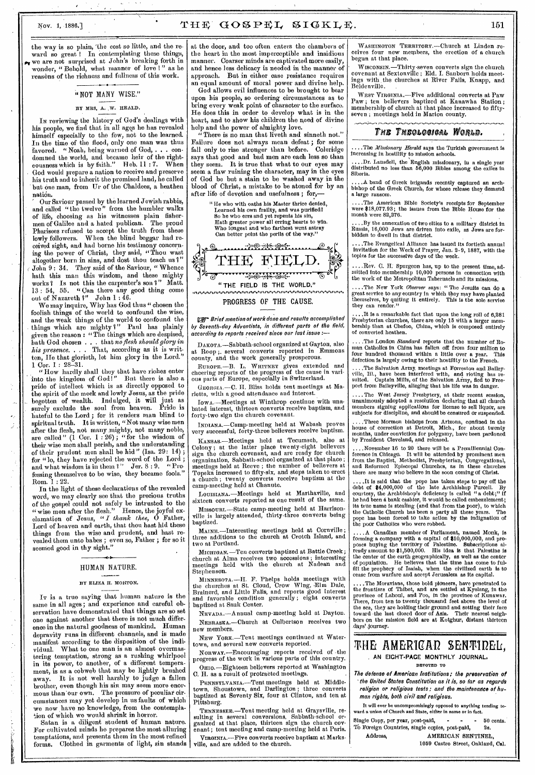## Nov. 1, 1886.] THE  $GOSPEL$ ,  $SIGKLE$ . 151

the way is so plain, 'the cost so little, and the reward so great! In contemplating these things, we are not surprised at John's breaking forth in wonder, "Behold, what manner of love !" as he reasons of the richness and fullness of this work.

### "NOT MANY WISE."

#### BY MRS, A. W. HEALD.

IN reviewing the history of God's dealings with his people, we find that in all eggs he has revealed himself especially to the few, not to the learned. In the time of the flood, only one man was thus favored. " Noah, being warned of God, . . . condemned the world, and became heir of the righteousness which is by faith," Beb, 11 : 7. When God would prepare a nation to receive and preserve his truth and to inherit the promised land, he called but one man, from Ur of the Chaldees, a heathen nation.

Our Saviour passed by the learned Jewish rabbis, and called "the twelve" from the humbler walks of life, choosing as his witnesses plain fishermen of Galilee and a hated publican. The proud Pharisees refused to accept the truth from these lowly followers. When the blind beggar had received sight, and had borne his testimony concerning the power of Christ, they said, "'Thou wast altogether born in sins, and dost thou teach us  $i'$ John 9: 34. They said of the Saviour, "Whence hath this man this wisdom, and these mighty works? Is not this the carpenter's son I" Matt. 13 : 54, 55. " Can there any good thing come out of Nazareth ?" John 1 : 46.

We may inquire, Why has God thus " chosen the foolish things of the world to confound the wise, and the weak things of the world to confound the things which are mighty?" Paul has plainly given the reason : "The things which are despised, bath God chosen . . . that *no flesh should glory in his presence. . .* That, according as it is written, He that glorieth, let him glory in the Lord." 1 Cor. 1 :  $28-31$ .

"How hardly shall they that have riches enter into the kingdom of God 1" But there is also a pride of intellect which is as directly opposed to the spirit of the meek and lowly Jesus, as the pride begotten of wealth. Indulged, it will just as surely exclude the soul from heaven. Pride is hateful to the Lord ; for it renders man blind to spiritual truth. It is written, "Not many wise men after the flesh, not many mighty, not many noble, are called" (1 Cor. 1 : 26) ; "for the wisdom of their wise men shall perish, and the understanding of their prudent men shall be hid" (Isa.  $29: 14)$  ; for "lo, they have rejected the word of the Lord ; and what wisdom is in them ?" Jer. 8:9. "Pro. fessing themselves to be wise, they became fools." Rom. 1 : 22.

In the light of these declarations of the revealed word, we may clearly see that the precious truths of the gospel could not safely be intrusted to the " wise mon after the flesh." Hence, the joyful ex-clamation of Jesus, *" I thank thee,* 0 Father, Lord of heaven and earth, that thou hast hid these things from the wise and prudent, and hast revealed them unto babes ; even so, Father ; for so it seemed good in thy sight."

## HUMAN NATURE.

#### BY ELIZA H. MORTON.

IT is a true saying that human nature is the same in all ages ; and experience and careful observation have demonstrated that things are so set one against another that there is not much difference in the natural goodness of mankind. Human depravity runs in different channels, and is made manifest according to the disposition of the individual. What to one man is an almost overmastering temptation, strong as a rushing whirlpool in its power, to another, of a different temperament, is as a cobweb that may be lightly brushed away. It is not well harshly to judge a fallen brother, even though his sin may seem more enormous than 'our own. The pressure of peculiar circumstances may yet develop in us faults of which we now . have no knowledge, from the contemplation of which wo would shrink in horror.

Satan is a diligent student of human nature. For cultivated minds he prepares the most alluring temptations, and presents them in the most refined forms. Clothed in garments of light, sin stands

at the door, and too often enters the chambers of the heart in the most imperceptible and insidious manner. Coarser minds are captivated more easily, and hence less delicacy is needed in the manner of approach. But in either case resistance requires an equal amount of moral power and divine help.

•

God allows evil influences to be brought to bear upon his people, so ordering circumstances as to bring every weak point of character to the surface. He does this in order to develop what is in the heart, and to show his children the need of divine help and the power of almighty love.

There is no man that liveth and sinneth not." Failure does not always mean defeat ; for some fall only to rise stronger than before. Coleridge fall only to rise stronger than before. Coleridge says that good and bad men are each less so than they seem. It is true that what to our eyes may seem a flaw ruining the character, may in the eyes of God be but a stain to be washed away in the blood of Christ, a mistake to be atoned for by an after life of devotion and usefulness; for,

"He who with oaths his Master thrice denied, Learned his own frailty, and was purified!<br>So he who errs and yet repents his sin,<br>Hath greater power all erring hearts to win.<br>Who longest and who farthest went astray<br>Can better point the perils of the way."



no Brief mention of work done and results accomplished by Seventh-day Adventists, in different parts of the field, according to reports received since our last issue :—

DAKOTA.—Sabbath-school organized at Gayton, also at Hoop ;. several converts reported in Emmons at Roop; several converts reported in I county, and the work generally prosperous.

EUROPE.—B. L. WHITNEY gives extended and cheering reports of the progress of the cause in various parts of Europe, especially in Switzerland.

GEORGIA.—C. H. Bliss holds tent meetings at Marietta, with a good attendance and interest.

IowA..—Meetings at Winthrop continue with unabated interest, thirteen converts receive baptism, and forty-two sign the church covenant.

INDIANA.—Camp-meeting held at Wabash proves very successful, forty-three believers receive baptism.

KANSAS.—Meetings held at Tecumseh, also at Colony ; at the latter place twenty-eight believers sign the church covenant, and are ready for church organization, Sabbath-school organized at that place ; meetings held at Reeve ; the number of believers at Topeka increased to fifty-six, and steps taken to erect a church ; twenty converts receive baptism at the camp-meeting held at Chanute.

LOUISIANA.—Meetings held at Marthaville, and sixteen converts reported as one result of the same.

MISSOURI.—State camp-meeting held at Harrison- 'Title is largely attended, thirty-three converts being baptized.

MAINE.—Interesting meetings held at Cornville ; three additions to the church at Crotch Island, and two at Portland.

*MICHIGAN.* —Ten converts baptized at Battle Creek ; church at Alma receives two accessions ; interesting meetings held with the church at Nadeau and Stephenson.

MINNEsom.—H. F. Phelps holds meetings with the churches at St. Cloud, Crow Wing, Elm Dale, Brainerd, and Little Falls, and reports good interest and favorable condition generally ; eight converts baptized at Sauk Center.

NEVADA.—Annual camp-meeting held at Dayton. NEBRASKA.—Church at Culbertson receives two new members.

NEw Yonx.—Tent meetings continued at Watertown, and several new converts reported.

NORWAY.—Encouraging reports received of -the progress of the work in various parts of this country. Onio.—Eighteen believers reported at Washington

C. H. as a result of protracted meetings. PENNSYLVANIA.—Tent meetings held at Middletown, Shoustown, and Darlington ; three converts baptized at Seventy Six, four at Clinton, and ten at Pittsburg.

TENNESSEE.—Tent meeting held at Graysville, re-sulting in several conversions, Sabbath-school organized at that place, thirteen sign the church covenant ; tent meeting and camp-meeting held at Paris. VIRGINIA.—Five converts receive baptism at Marksville, and are added to the church.

WASHINGTON TERRITORY.---Church at Linden receives four new members, the erection of a church begun at that place.

WISCONSIN.—Thirty-seven converts sign the church covenant at Sextonvillc ; Eld. I. Sanborn holds meetings with, the churches at River Falls, Knapp, and Beldenville.

WEST VIRGINIA.—Five additional converts at Paw Paw ; ten believers baptized at Kanawha Station ; membership of church at that place increased to fiftyseven ; meetings held in Marion county.

#### The Theological World.

....The *Missionary Herald* says the Turkish government is increasing in hostility to mission schools.

....Dr. Lansdell, the English missionary, in a single year distributed no less than 56,000 Bibles among the exiles in Siberia.

....A band of Greek brigands recently captured an arch-bishop of the Greek Church, for whose release they demand a large ransom.

....The American Bible Society's receipts for September were \$18,077.93; the issues from the Bible House for the month were 82,276.

...By the annexation of two cities to a military district in Russia, 16,000 Jews are driven into exile, as Jews are for-bidden to dwell in that district,

.The Evangelical Alliance has issued its fortieth annual invitation for the Week of Prayer, Jan. 2-9, 1887, with the topics for the successive days of the week.

..Rev. C. H. Spurgeon has, up to the present time, admitted into membership 10,000 persons in connection with the work of the Metropolitan Tabernacle and its missions.

....The New York *Observer* says: "The Jesuits can do a great service to any country in which they may have planted themselves, by quiting it entirely. This is the sole service they can render."

....It is a remarkable fact that upon the long roll of 6,281 Presbyterian churches, there are only 15 with a larger mem-bership than at Chefoo, China, which is composed entirely of converted heathen.

....The London *Standard* reports that the number of Roman Catholics in China has fallen off from four million to four hundred thousand within a little over a year. This defection is largely owing to their hostility to the French.

....The Salvation Army, meetings at Forreston and Bailey-<br>ville, Iil., have been interfered with, and rioting has re-<br>sulted. Captain Mills, of the Salvation Army, fied to Free-<br>port from Baileyville, alleging that his lif

.... The West Jersey Presbytery, at their recent session, unanimously adopted a resolution declaring that all church members signing applications for license to sell liquor, are subjects for discipline, and should be censured or suspended.

....Three Mormon bishops from Arizona, confined in the house of correction at Detroit, Mich., for about twenty months, under conviction for polygamy, have been pardoned by President Cleveland, and released.

...November 16 to 20 there will be a Premillennial Concrence in Chicago. It will be attended by prominent men<br>rom the Baptist, Methodist, Presbyterian, Congregational, ference in Chicago. It will be attended by prominent men<br>from the Baptist, Methodist, Presbyterian, Congregational,<br>and Reformed Episcopal Churches, as in these churches<br>there are many who believe in the soon coming of Chr

....It is said that the pope has taken steps to pay off the debt of \$4,000,000 of the late Archbishop Purcell. By courtesy, the Archbishop's deficiency is called "a debt;" if he had been a bank cashier, it would be called embezzlement; its true name is stealing (and that from the poor), to which the Catholic Church has been a party all these years. The pope has been forced to take action by the indignation of the poor Catholics who were robbed.

....A Canadian member of Parliament, named Monk, is<br>forming a company with a capital of \$10,000,000, and proforming a company with a capital of \$10,000,000, and pro-poses buying the territory of Palestine. Subscriptions already amount to \$1,500,000. His idea is that Palestine is<br>the center of the earth geographically, as well as the center<br>of population. He believes that the time has come to ful-<br>fill the prophecy of Isaiah, when the civili

....The Moravians, those bold pioneers, have penetrated to the frontiers of Thibet, and are settled at Kyelang, in the province of Lahoul, and Poo, in the province of Kunawar.<br>There, from ten to twenty thousand feet above the sea, they are holding their ground and setting their face toward .the last closed door of Asia. Their nearest neighbors on the mission field are at Kotghur, distant thirteen days' Journey.

## THE AMERICAD SENTIDEL. , AN EIGHT-PAGE MONTHLY JOURNAL,

DEVOTED TO

The defense of American Institutions; the preservation of 'the United States Constitution as it is, so far as regards religion or religious tests; and the maintenance of human rights, both civil and religious.

It will ever be uncompromisingly opposed to anything tending to-ward a union of Church and State, eithtr in name or in fact.

Single Copy, per year, post-paid, - - - - 50 cents.<br>To Foreign Countries, single copies, post-paid, 2s. To Foreign Countries, single copies, post-paid,

Address, AMERICAN SENTINEL,